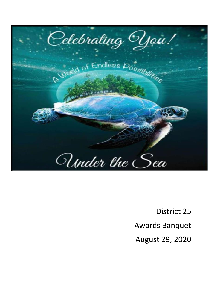

District 25 Awards Banquet August 29, 2020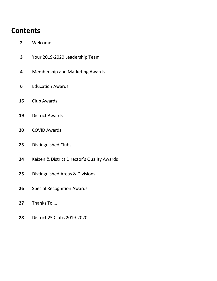# **Contents**

| $\mathbf{2}$            | Welcome                                     |
|-------------------------|---------------------------------------------|
| $\overline{\mathbf{3}}$ | Your 2019-2020 Leadership Team              |
| 4                       | Membership and Marketing Awards             |
| $6\phantom{1}6$         | <b>Education Awards</b>                     |
| 16                      | Club Awards                                 |
| 19                      | <b>District Awards</b>                      |
| 20                      | <b>COVID Awards</b>                         |
| 23                      | Distinguished Clubs                         |
| 24                      | Kaizen & District Director's Quality Awards |
| 25                      | Distinguished Areas & Divisions             |
| 26                      | <b>Special Recognition Awards</b>           |
| 27                      | Thanks To                                   |
| 28                      | District 25 Clubs 2019-2020                 |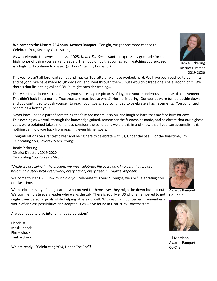**Welcome to the District 25 Annual Awards Banquet.** Tonight, we get one more chance to Celebrate You, Seventy Years Strong!

As we celebrate the awesomeness of D25, *Under The Sea*, I want to express my gratitude for the high honor of being your servant leader. The flood of joy that comes from watching you succeed is a high I will continue to chase. (Just don't tell my husband.)

This year wasn't all forehead selfies and musical Tourette's - we have worked, hard. We have been pushed to our limits and beyond. We have made tough decisions and lived through them... but I wouldn't trade one single second of it. Well, there's that little thing called COVID I might consider trading…

This year I have been surrounded by your success, your pictures of joy, and your thunderous applause of achievement. This didn't look like a normal Toastmasters year, but so what? Normal is boring. Our worlds were turned upside down and you continued to push yourself to reach your goals. You continued to celebrate all achievements. You continued becoming a better you!

Never have I been a part of something that's made me smile so big and laugh so hard that my face hurt for days! This evening as we walk through the knowledge gained, remember the friendships made, and celebrate that our highest goals were obtained take a moment to consider the conditions we did this in and know that if you can accomplish this, nothing can hold you back from reaching even higher goals.

Congratulations on a fantastic year and being here to celebrate with us, Under the Sea! For the final time, I'm Celebrating You, Seventy Years Strong!

Jamie Pickering District Director, 2019-2020 Celebrating You 70 Years Strong

*"While we are living in the present, we must celebrate life every day, knowing that we are becoming history with every work, every action, every deed." – Mattie Stepanek*

Welcome to Pier D25. How much did you celebrate this year? Tonight, we are "Celebrating You" one last time.

We celebrate every lifelong learner who proved to themselves they might be down but not out. We commemorate every leader who walks the talk. There is You, Me, US who remembered to not neglect our personal goals while helping others do well. With each announcement, remember a world of endless possibilities and adaptabilities we've found in District 25 Toastmasters.

Are you ready to dive into tonight's celebration?

Checklist: Mask - check Fins – check Tank – check

We are ready! "Celebrating YOU, Under The Sea"!



Joyce Trimble Awards Banquet Co-Chair



Awards Banquet Co-Chair



District Director 2019-2020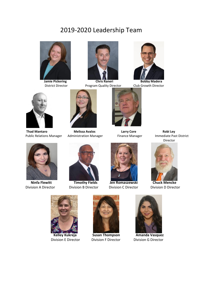# 2019-2020 Leadership Team





**Jamie Pickering Chris Raneri Bobby Madera** 



**District Director Program Quality Director Club Growth Director** 





**Thad Mantaro Melissa Avalos Larry Core Robi Ley**







 **Ninfa Flewitt Timothy Fields Jen Romaszewski Chuck Mencke**







Division A Director Division B Director Division C Director Division D Director





 **Kelley Kukreja Susan Thompson Amanda Vasquez** Division E Director Division F Director Division G Director

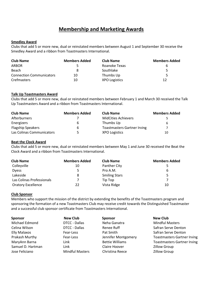# **Membership and Marketing Awards**

#### **Smedley Award**

Clubs that add 5 or more new, dual or reinstated members between August 1 and September 30 receive the Smedley Award and a ribbon from Toastmasters International.

| <b>Club Name</b>                | <b>Members Added</b> | <b>Club Name</b>     | <b>Members Added</b> |
|---------------------------------|----------------------|----------------------|----------------------|
| <b>ARBOR</b>                    |                      | Roanoke Texas        |                      |
| Beach                           |                      | Southlake            |                      |
| <b>Connection Communicators</b> | 10                   | Thumbs Up            |                      |
| <b>Crefmasters</b>              | 10                   | <b>XPO Logistics</b> | 12                   |

#### **Talk Up Toastmasters Award**

Clubs that add 5 or more new, dual or reinstated members between February 1 and March 30 received the Talk Up Toastmasters Award and a ribbon from Toastmasters International.

| <b>Club Name</b>          | <b>Members Added</b> | <b>Club Name</b>                   | <b>Members Added</b> |
|---------------------------|----------------------|------------------------------------|----------------------|
| Afterburners              |                      | <b>MidCities Achievers</b>         |                      |
| Energizers                | 6                    | Thumbs Up                          | ь                    |
| <b>Flagship Speakers</b>  | ь                    | <b>Toastmasters Gartner Irving</b> |                      |
| Las Colinas Communicators | 5                    | <b>XPO Logistics</b>               | 10                   |

#### **Beat the Clock Award**

Clubs that add 5 or more new, dual or reinstated members between May 1 and June 30 received the Beat the Clock Award and a ribbon from Toastmasters International.

| <b>Club Name</b>          | <b>Members Added</b> | <b>Club Name</b>     | <b>Members Added</b> |
|---------------------------|----------------------|----------------------|----------------------|
| Colleyville               | 10                   | Panther City         |                      |
| <b>Dyess</b>              | 5                    | Pro A.M.             | 6                    |
| Lakeside                  | 8                    | <b>Smiling Stars</b> |                      |
| Las Colinas Professionals |                      | Tip Top              |                      |
| <b>Oratory Excellence</b> | 22                   | Vista Ridge          | 10                   |

#### **Club Sponsor**

Members who support the mission of the district by extending the benefits of the Toastmasters program and sponsoring the formation of a new Toastmasters Club may receive credit towards the Distinguished Toastmaster and a successful club sponsor certificate from Toastmasters International.

| <b>Sponsor</b>    | <b>New Club</b>        | <b>Sponsor</b>         | <b>New Club</b>                    |
|-------------------|------------------------|------------------------|------------------------------------|
| Michael Edmond    | DTCC - Dallas          | Neha Ganatra           | <b>Mindful Masters</b>             |
| Celina Wilson     | DTCC - Dallas          | Renee Ruff             | Safran Serve Denton                |
| Elly Malaxos      | Fear-Less              | Pat Smith              | Safran Serve Denton                |
| Prakash Murthy    | Fear-Less              | Jennifer Montgomery    | <b>Toastmasters Gartner Irving</b> |
| MaryAnn Barna     | Link                   | <b>Bettie Williams</b> | <b>Toastmasters Gartner Irving</b> |
| Samuel D. Hartman | Link                   | Claire Hoover          | <b>Zillow Group</b>                |
| Jose Feliciano    | <b>Mindful Masters</b> | Christina Reece        | <b>Zillow Group</b>                |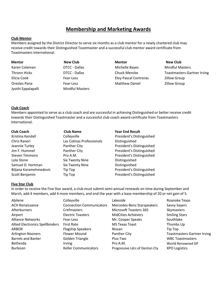# **Membership and Marketing Awards**

#### **Club Mentor**

Members assigned by the District Director to serve six months as a club mentor for a newly chartered club may receive credit towards their Distinguished Toastmaster and a successful club mentor award certificate from Toastmasters International.

Jyothi Eppalapalli Mindful Masters

# **Mentor New Club Mentor New Club** Karen Coleman **National Coleman Coleman Coleman DTCC** - Dallas **Michelle Bayes** Mindful Masters Mindful Masters Elicia Cook **Fear-Less** Fear-Less Eloy Pascal Contreras Zillow Group Orestes Pena Fear-Less Matthew Daniel Zillow Group

Thronn Hicks DTCC - Dallas Chuck Mencke Toastmasters Gartner Irving

#### **Club Coach**

Members appointed to serve as a club coach and are successful in achieving Distinguished or better receive credit towards their Distinguished Toastmaster and a successful club coach award certificate from Toastmasters International.

| <b>Club Coach</b>      | <b>Club Name</b>          |
|------------------------|---------------------------|
| Kristina Kendall       | Colleyville               |
| Chris Raneri           | Las Colinas Professionals |
| Jeannie Turley         | <b>Panther City</b>       |
| Jim F. Hummel          | <b>Panther City</b>       |
| <b>Steven Timmons</b>  | Pro A.M.                  |
| Lola Stone             | Six Twenty Nine           |
| Samuel D. Hartman      | <b>Six Twenty Nine</b>    |
| Biljana Karamehmedovic | Tip Top                   |
| Scott Benjamin         | Tip Top                   |

#### **Year End Result**

President's Distinguished Distinguished President's Distinguished President's Distinguished President's Distinguished Distinguished Distinguished President's Distinguished Top **School** President's Distinguished

#### **Five Star Club**

In order to receive the Five Star award, a club must submit semi-annual renewals on time during September and March, add 4 members, add 4 more members, and end the year with a base membership of 20 or net gain of 5.

| Abilene                                | Colleyville                     | Lakeside                       | Roanoke Texas                      |
|----------------------------------------|---------------------------------|--------------------------------|------------------------------------|
| <b>ACH Renaissance</b>                 | <b>Connection Communicators</b> | Mercedes-Benz Starspeakers     | Savvy Sayers                       |
| Afterburners                           | Crefmasters                     | <b>Microsoft Toasters 365</b>  | Skymasters                         |
| Airport                                | <b>Electric Toasters</b>        | <b>MidCities Achievers</b>     | <b>Smiling Stars</b>               |
| <b>Alliance Networks</b>               | Fear-Less                       | Mr. Cooper Speaks              | Southlake                          |
| <b>Allied Electronics Spellbinders</b> | <b>First Rate</b>               | <b>MS Texas Toast</b>          | Thumbs Up                          |
| <b>ARBOR</b>                           | <b>Flagship Speakers</b>        | Nissan                         | Tip Top                            |
| <b>Arlington Nooners</b>               | Flower Mound                    | Panther City                   | <b>Toastmasters Gartner Irving</b> |
| <b>Barrels and Banter</b>              | Golden Triangle                 | Plus-Two                       | <b>WBC Toastmasters</b>            |
| Bethesda                               | <b>Irving</b>                   | Pro A.M.                       | World Renowned GP                  |
| <b>Burleson</b>                        | <b>Keller Communicators</b>     | Progressive Ldrs of Denton Cty | <b>XPO Logistics</b>               |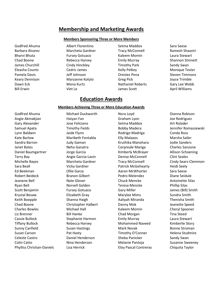# **Membership and Marketing Awards**

#### **Members Sponsoring Three or More Members**

Godfred Ahuma Albert Florentino Setma Maddox Sara Seese Barbara Alvarez Marcheta Gardner Tracy McConnell Ramesh Shaastri Bharvi Bhuta **Fursey Gotuaco Fursey Gotuaco** Kaleem Momin Laura Stewart Chad Boone **Rebecca Harvey Emily Murray** Emily Murray Shannon Stinnett James Churchill Cindy Hinckley Timothy Park Sandy Swan Eleasha Counts **Cedric James** Cedric James Kelly Pelkey Monique Tester Pamela Davis Jeff Johnson Orestes Pena Steven Timmons Keary Dennison **Maryanne Kotylo** Greg Pick Greg Pick Joyce Trimble Dawn Eck Mona Kurtz Nathaniel Roberts Gary Lee Webb Bill Erwin **Example 20** Viet Le Computer Computer Scott April Williams

# **Education Awards**

#### **Members Achieving Three or More Education Awards**

Godfred Ahuma **Michael Duckworth** Nora Loyd **Nora Low And Angles** Dianna Robison Angie Akmakjian Haiyan Fan Graham Lyon Joe Rodriguez Gary Alexander The Suite of Tose Feliciano Setma Maddox Setma Maddox Art Rolader Samuel Apata Timothy Fields Bobby Madera Sennifer Romaszewski Lynn Baldwin Jaide Flynn Rodrigo Madriga Conda Ross Kate Barlow **Maribeth Fontabla** Elly Malaxos **Marsha Sailer** Elly Malaxos Marsha Sailer Sandra Barron **Manusia Sanders** Judy Gaman **Kruthika Manohara** Jodie Sanders Janet Bates Neha Ganatra Corpreale Mariga Charles Sanzone Daniel Baumgartner Jorge Garcia Kimberly McBrayer Allison Schoening Terry Bay **Angie Garcia-Lavin** Denise McConnell Clint Seales Michelle Bayes Marcheta Gardner Tracy McConnell Cindy Sears-Clemmon Sara Beall **Sara Beall** Vicky Gardner **Patrick McGehearty** Heidi Seely Ed Beekman Ollie Garza Aaron McWhorter Sara Seese Robert Beideck **Branon Gilbert** Branon Gilbert Pedro Melendez **Pedro Diane Seidule** Jeanene Bell Nate Glover Chuck Mencke Antoinette Silas Ryan Bell **Norvell Golden** Teresa Mencke Phillip Silas Scott Benjamin Fursey Gotuaco Gary Miller Gary Miller James (Bill) Smith Krystal Besaw **Elizabeth Gray Marylee Mims** Sundra Smith Keith Boepple Shanna Haigh Aaliyah Miranda Thenisha Smith Chad Boone Christopher Halbert Danny Mok Jeanette Speed Charles Bowles **Michael Hall** Kaleem Momin Cheryl Spooner Liz Brenner Bill Hanke Chad Morgan Tina Steed Cassie Bullock Stephanie Harmon Emily Murray Laura Stewart Tiffany Bullock **Rebecca Harvey Communist Communist Communist Communist Communist Communist Communist Communist Communist Communist Communist Communist Communist Communist Communist Communist Communist Communist Communist** Sunny Canfield **Susan Hastings** Mark Novak Bonne Stroman Susan Carson **Pat Hasty** Pat Hasty **Pat Hasty** Timothy O'Conner Helena Studmire Celeste Castro **Castro Castro Connect Paniel Henderson** Sheba Panicker Sandy Swan Colin Catto Nina Henderson Melanie Pantoja Suzanne Sweeney

Phylliss Christian-Daniels Lisa Herrick Eloy Pascal Contreras Chiquita Taylor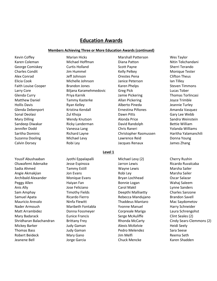#### **Members Achieving Three or More Education Awards (continued)**

Yousif Abushaaban Jyothi Eppalapalli Michael Levy (2) Cherry Rushin Oluwafemi Adenaike Jesse Espinoza Jarron Lewis Ricardo Ruvalcaba Sadia Ahmed **Tammy Estill Network Charlotte Wayne Lewis** Marsha Sailer Angie Akmakjian and Jon Evans and Robi Ley Robi Ley Robi Ley Marsha Sailer Archibald Alexander **Monique Evans** Bryan Lochhead **Design Constants Bryan** Lochhead Oscar Salazar Peggy Allen **Mathangkar Haiyan Fan** Bonnie Logan Nahaj Saleem Anis Ally Jose Feliciano Carol Makil Lynne Sanders Sam Amphay **Timothy Fields** Deepthi Mallisetty Charles Sanzone Samuel Apata **Ricardo Fierro** Rebecca Mandujano Brandon Savell Mauricio Arevalo Ninfa Flewitt Thaddeus Mantaro Mac Saydometov Nader Armoush **Maribeth Fontabla** Yvonne Manuel Harry Schneider Matt Arrambidez Donna Fossmeyer Corpreale Mariga Laura Schrengohst Mary Badarack **Eunice Francis** Serge McAuliffe Clint Seales (2) Shridharan Balachandran Brittany Frey Rhonda McCarty Cindy Sears-Clemmons (2) Mickey Barker **Mickey Barker Alexis McKelvie Heidi Seely** Alexis McKelvie **Heidi Seely** Thomas Bass **Sara Seese** Judy Gaman **Pedro Melendez** Sara Seese Robert Beideck **Mary Gano Mary Gano** Jim Melfi **Reema Seth** Jeanene Bell Jorge Garcia Chuck Mencke Karen Shadden

Karen Coleman **Michael Hoffman** Diana Patton Nitin Tekchandani George Comiskey **Curtis Holland** Scott Payne Sherri Terando Charles Condit Jim Hummel Kelly Pelkey Monique Tester Alex Conrad **Alex Conrad** Jeff Johnson **Clifton Theus** Orestes Pena Clifton Theus Elicia Cook Michelle Johnson Janice Peterson Ian Tilley Faith Louise Cooper **Brandon Jones** Karen Phelps Steven Timmons Larry Core Biljana Karamehmedovic Greg Pick Lucas Tober Glenda Curry **Priya Karnik Manusiya Curry Priya Karnik** Jamie Pickering Thomas Torlincasi Matthew Daniel **Tammy Kasterke** Allan Pickering Allan Pickering Allam Pickering Allam Pickering Allam Pickering Allam Pickering Allam Pickering Allam Pickering Allam Pickering Allam Pickering Allam Pickering Allam Pickerin Hollis Davis **Alberto Pineda** Gearnic Turley **Alberto Pineda** Jeannie Turley Glenda Debenport Kristina Kendall Ernestina Piñones Amanda Vasquez Sonal Deolasi **National 20 Sonal Deolasi** Cary Lee Webb **Zul Khoja** Dawn Pitts **Gary Lee Webb** Mary Dilling The Mendy Knutson Communication Alonda Price The Sandra Weinstein Sandeep Diwakar **Ricky Landerman** David Randolph Bettie William Jennifer Dodd Vanessa Lang Chris Raneri Yolanda Williams Saritha Dominic Richard Layne Christopher Rasmussen Haritha Yalamanchili Suzanna Dooling **Michael Levy** Lawrence Reid **Donna Young** Cuzanna Dooling

Kevin Coffey **Marian Hicks** Marian Hicks Marshall Patterson Wes Taylor Calvin Dorsey Robi Ley Jacques Renaux James Zhang

#### **Level 1**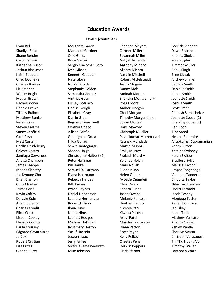#### **Level 1 (continued)**

Ryan Bell **Shannon Meyers** Shannon Meyers Sedrick Shadden Shannon Meyers Sedrick Shadden Shadiya Bello **Marcheta Gardner** Carmen Miller **Carmen Miller** Dawn Shannon Shane Bender Savannah Miller Savannah Miller Savannah Miller Krishna Shukla Carol Benson Brice Gaston Aaliyah Miranda Susan Sigler Katherine Bisson Sergio Giacoman Soto Anthony Miricho Timmothy Silva Joshua Blackmon Kyle Gibson Akshay Mishra Rahul Singh Keith Boepple **Kenneth Gladden** Natalie Mitchell **Ellen Slezak** Natalie Mitchell Ellen Slezak Chad Boone (2) **Nate Glover Robert Mittelsteadt** Andrew Smilie Charles Bowles Norvell Golden Justin Mogeni Cedrick Smith Liz Brenner Stephanie Golden Danny Mok Danielle Smith Walter Bright **Samantha Gomez** Aminah Momin James Smith James Smith Megan Brown Vintrice Goss Shyneka Montgomery Jeanette Smith Rachel Brown **Fursey Gotuaco** Ross Moore **Ross Moore** Joshua Smith Ronald Brown **Denise Gough Amber Morgan** Scott Smith Tiffany Bullock Elizabeth Gray Chad Morgan Prakash Somashekar Matthew Bunke **Darrin Green** Timothy Morgenthaler Jeanette Speed (2) Peter Burns **Reginald Greenwell** Susan Motley Cheryl Spooner (2) Steven Calame Cynthia Grieco Hans Mowrey Ben Sporl Sunny Canfield Allison Griffin Christoph Mueller Tina Steed Cate Cash Gheorghina Gruia Pavankumar Mummasani Helena Studmire Challis Castleberry **Sewit Habtegiorgis** Martin Munoz **Martin Munoz** Adam Sutton Celeste Castro **Shanna Haigh** Emily Murray **Emily Murray** Kristina Swinney Santiago Cervantes **Christopher Halbert (2)** Prakash Murthy Karen Switzer Aneisa Chambers Peter Hammer Yolanda Nolan Bradford Sylve James Chappel **Accomission Bill Hanke** Mark Novak Melissa Tacconi Meena Chhetry **Samuel D. Hartman** Eliane Nunn **Eliane Nunn** Jirapat Tanghongs Jae Kyoung Cho Diana Hartmann Helen Oduor Vandana Tanneru Brian Clanton **Rebecca Harvey** Ayoade Ogundeji Chiquita Taylor Chris Cloutier Bill Haynes Chris Omolo Nitin Tekchandani Jaime Cobb Byron Haynes Sondra O'Neal Sherri Terando Kevin Coffey Daniel Henderson Jason Owens Jacob Tesney Darcyle Cole Leandra Hernandez Melanie Pantoja Monique Tester Adam Coleman **Roderick Hicks** Heather Panuco Katie Thompson Charles Condit **Ilona Hines III Interventional Charles** Condit **Ian Tilley** Elicia Cook Nedra Hines Kiwitta Paschal Jamel Toth Lizbeth Cooley **Leandis Hodges** Ashvi Patel Mathew Valastro Ashvi Patel Mathew Valastro Eleasha Counts Michael Hoffman Marshall Patterson Kristina Valdez Paula Coursey **Rosemary Horton** Diana Patton **Ray Ashley Varela** Edgardo Covarrubias **Matuk Yusuf Hussein** Scott Payne Sherilyn Vassar Jo Cox Joseph Isaac Kelly Pelkey Christian Velasquez Robert Cristian Thi Thu Huong Vocal Cristian Jerry James Cristian Drestes Pena Thi Thu Huong Vo Lisa Crites **Victoria Jameson-Krath** Derwin Peppers Timothy Waller

Glenda Curry **Clark Prace Clark Pfarner** Clark Pfarner Savannah Ware

Matt Castelli **Kastelli** Hilda Guffey **Raunak Mundada** Anupkumar Subramanian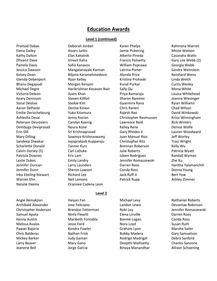#### **Level 1 (continued)**

Pramod Dabas Deborah Jordan Karen Phelps Rahmana Warren Elena Dailey **Aivars Jurkis** Jamie Pickering Mitzie Watson Kathy Dalton **Elan Kahalnik Alberto Pineda** Casandra Watts Dhvanit Dave **Vineet Kalra** Francis Polisetty Gary Lee Webb (2) Pamela Davis **National Sofia Kanavos** Nilliam Poprawa **Georgia Webb** Webb Jessica Dawson Mangalanayaki Kannan Latrina Porter Sandra Weinstein Kelsey Dean **Biljana Karamehmedovic** Alonda Price **Reinhard Weiss** Reinhard Weiss Glenda Debenport **Ryan Kelley** Kristina Prohaski Kristina Prohaski Kristina Prohaski Kristina Prohaski Kristina Welch Bhanu Degapudi Morgan Kenyon Kunal Purkar Curtis Wesley Michael Degre **Manufall Harikrishnan Kesavan-Nair** Sally Qu Mona White Mona White Victoria Deleon **Azam Khan** Priya Ramaraju Louisa Whitehead Keary Dennison **Steven Killfoil** Sharon Ramirez Joanna Wiesinger Sharon Ramirez Sharon Ramirez Sharon Ramirez Sharon Ramirez Sharon Ramirez Sharon Ramirez Sharon Ramirez Sharon Ramirez Sharon Ramirez Sharon Ramirez Sharon Sonal Deolasi Sookie Kim Gyanmira Rana Ryian Williams Aaron DePaolo Denise Kinion Chris Raneri Chad Wilson Emilie Derischebourg Yuko Kitamura Rajesh Rao David Winkowski Ashlesha Desai Jenny Kocian Christopher Rasmussen Krissi Winningham Peterson Desrosiers Carolyn Koenig Lawrence Reid Rick Winters Dembuga Deviprasad Noura Kone Noura Kelley Rene Noura Denise Wolfe Erin Dill Sri Krishnaprasad Gary Rhodes II Lauren Woodward Mary Dilling Sowmya Krishnaswamy Juan Manuel Rios Jeff Worley Sandeep Diwakar Jayaprakash Kupparaju Christopher Ritz Traci Wright Scharlette Donald Tanner Kurz Brennan Roberson Kelly Wu Calvin Dorsey (5) Carl LaDuke Julie Roberts Patricia Wyatt Patricia Downes **Eric Lam** Isleen Rodriguez Randall Wyman Leslie Dukes Emily Landry Jennifer Romaszewski Zhe Xu Jennifer Duncan Larry Launders Darren Roos Haritha Yalamanchili Jennifer Dunn Sheron Lawson Conda Ross Donna Young Inka Ebeling-Stewart **Richard Lee** Bert Yow Bert Yow Warren Ehn **Neil Lemons Patrick Rupp** Ashley Zimmer Natalie Ekema Orannee Cadena Leon

#### **Level 2**

Angie Akmakjian Haiyan Fan Michael Levy Nathaniel Roberts Archibald Alexander Jose Feliciano Landon Lewis Devontae Robinson Christopher Anderson Brandon Fetterman Robi Ley Jennifer Romaszewski Samuel Apata **Ninfa Flewitt** Elena Linville **National Darren Roos** Carren Roos Kenny Austin **Maribeth Fontabla** Bonnie Logan Conda Ross **Conda Ross** Melissa Avalos Jesse Ford Nora Loyd Susan Ruth Pawan Bajoria **Marsha Kendra Fowler** Graham Lyon Graham Lyon Marsha Sailer Chris Balderas Nathan Frick Bobby Madera Gary Samuelson Mickey Barker Judy Gaman Rodrigo Madrigal Debra Sanford Larry Beaver **Mary Gano Charles Sanzone Charles Sanzone Charles Sanzone** Jeanene Bell **Schoening** Jorge Garcia **Binaya Manandhar** Allison Schoening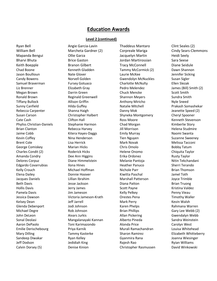#### **Level 2 (continued)**

Ryan Bell **Angie Garcia-Lavin** Thaddeus Mantaro Clint Seales (2) Clint Seales (2) William Bell **Marcheta Gardner (2)** Corpreale Mariga Cindy Sears-Clemmons Mapanda Bengui Ollie Garza Jacquelyn Martin Heidi Seely Bharvi Bhuta Brice Gaston Jordan Martirossian Sara Seese Keith Boepple **Branon Gilbert** Tracy McConnell **Diane Seidule** Chad Boone **State Charlot Chad Boone** Kenneth Gladden **Tammy McCormick (2)** Dawn Shannon Jason Boullioun **Nate Glover Nate Glover** Laurie McKee **Manual Account Sicking** Candy Bowens Norvell Golden Gwendolyn McNuckles Susan Sigler Samuel Braverman Fursey Gotuaco Charlotte McNulty Ellen Slezak Liz Brenner Elizabeth Gray Pedro Melendez James (Bill) Smith (2) Megan Brown Darrin Green Chuck Mencke Scott Smith Ronald Brown **Reginald Greenwell** Shannon Meyers Sundra Smith Tiffany Bullock Allison Griffin Anthony Miricho Nyle Sneed Sunny Canfield **Hilda Guffey** Natalie Mitchell Prakash Somashekar Rebecca Carpenter **Shanna Haigh** Danny Mok Danny Mok Jeanette Speed (2) Susan Carson **Christopher Halbert** Shyneka Montgomery Cheryl Spooner Cate Cash Clifton Hall Ross Moore New York Cash Clifton Hall Ross Moore Kenneth Stevenson Phyliss Christian-Daniels Stephanie Harmon Chad Morgan Kimberlie Story Brian Clanton **Rebecca Harvey** Jill Morrison **Helena Studmire Helena** Studmire Jaime Cobb **Kitera Hayes-Daggs** Emily Murray **Naomi Swanta** Emily Murray Naomi Swanta Kevin Coffey **Nina Henderson** Tien Nguyen Suzanne Sweeney Brent Cole **Cole Collection Collective Collection** Cole Collection Mark Novak Melissa Tacconi George Comiskey **Chris Chris Chris Chris Chris Chris Chris Chris Chris Chris Chris Chris Chris Chris Chris Chris Chris Chris Chris Chris Chris Chris Chris Chris Chris Chris Chris Chris Chris Chris Chris Chris Chris Chris C** Charles Condit (2) **Roderick Hicks** Helene Onomo Chiquita Taylor Amanda Condry **Condry Condrigent Condrigent Condrigent Condrigent Condrigent Condrigent Condrigent Condrigent Condrigent Condrigent Condrigent Condrigent Condrigent Condrigent Condrigent Condrigent Condrigent Condrigent Co** Delores Corpuz Diane Himmelstein Melanie Pantoja Nitin Tekchandani Edgardo Covarrubias **Ilona Hines** Ilona Hines Heather Panuco Sherri Terando Kelly Crouch **Michael Hoffman** Nichole Parr **Nichole Parr** Brian Thomson Elena Dailey Donnie Hoover Kiwitta Paschal Jamel Toth Jacques Daniels Lillian Ibrahim Marshall Patterson Joyce Trimble Beth Davis **Market Brian Truong State Jackson** Diana Patton Diana Patton Brian Truong Hollis Davis **Marko Automa Cleare Scott Payne Scott Payne** Aristina Valdez Pamela Davis Jim Jameson Kelly Pelkey Penny Vieau Jessica Dawson Victoria Jameson-Krath Orestes Pena Timothy Waller Kelsey Dean Netter Andrew Mark Perry Nark Perry Nearly Revin Walsh Glenda Debenport Jodi Johnson Karen Phelps Rahmana Warren Michael Degre **Rob Johnson** Brian Phillips **Gary Lee Webb** (2) **Gary Lee Webb** (2) John DeLeon Aivars Jurkis Allan Pickering Gwendalyn Webb Sonal Deolasi Mangalanayaki Kannan Alberto Pineda Sandra Weinstein Aaron DePaolo Toni Karimazondo Alonda Price Carolyn West Emilie Derischebourg Priya Karnik Murali Ramachandran Louisa Whitehead Mary Dilling Tammy Kasterke Sharon Ramirez Elizabeth Whitteberry Sandeep Diwakar **Matsu Ryan Kelley** Matsu Gyanmira Rana Matsu Joanna Wiesinger Jeff Dodson Jedidiah King Rajesh Rao Ryian Williams

Calvin Dorsey (5) **Denise Kinion** Christopher Rasmussen David Winkowski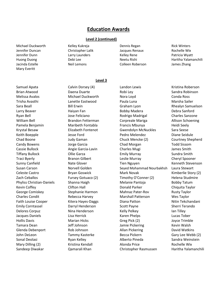#### **Level 2 (continued)**

**Level 3**

Jennifer Duncan Christopher Lalik Jacques Renaux Rochelle Wix Jennifer Dunn Larry Launders Kelley Rene Patricia Wyatt Jacinda Estelle Neil Lemons Colleen Roberson James Zhang Mary Everitt

Michael Duckworth **Kelley Kukreia** Dennis Regan Rick Winters

Huong Duong Neetu Rishi Neetu Rishi Neetu Rishi Neetu Rishi Neetu Rishi Neetu Rishi Neetu Rishi Haritha Yalamanchili

# Samuel Apata Calvin Dorsey (4) Landon Lewis Calvin Roberson

Brian Atwood **State Communist Communist Communist Communist Communist Communist Communist Communist Communist Communist Communist Communist Communist Communist Communist Communist Communist Communist Communist Communist Co** Melissa Avalos **Michael Duckworth** Nora Loyd **Nora Low Conda Ross** Conda Ross Trisha Avasthi Lanette Eastwood Paula Luna Marsha Sailer Sara Beall Bill Erwin Graham Lyon Rhealyn Samuelson Larry Beaver Haiyan Fan Bobby Madera Debra Sanford Ryan Bell **Society Charles Sanzone** Jose Feliciano **Rodrigo Madrigal** Charles Sanzone William Bell **Brandon Fetterman** Corpreale Mariga **Allison Schoening** Corp Pamela Benjamin **Maribeth Fontabla** Francis Mbunya **Heidi Seely** Francis Mbunya Krystal Besaw Elizabeth Fontenot Gwendolyn McNuckles Sara Seese Keith Boepple The Jesse Ford The Pedro Melendez Change Diane Seidule Chad Boone Judy Gaman Chuck Mencke (2) Courtney Shepherd Candy Bowens Jorge Garcia Chad Morgan Todd Sissom Cassie Bullock Angie Garcia-Lavin Charles Mugi James Smith Tiffany Bullock **Collie Garza** Collie Garza **Emily Murray** Sundra Smith Traci Byerly Branon Gilbert Leslie Murray Cheryl Spooner Sunny Canfield **Nate Glover** Nate Glover **Tien Nguyen** Tien Nguyen Kenneth Stevenson Susan Carson **Norvell Golden** Seyed Mohammad Nourbakhsh Laura Stewart Celeste Castro **Bryan Goswick** Mark Novak Mark Novak Kimberlie Story (2) Zach Ceballos Fursey Gotuaco (2) Timothy O'Conner (2) Helena Studmire Phyliss Christian-Daniels Shanna Haigh Melanie Pantoja Bobby Tatum Kevin Coffey **Clifton Hall** Donald Parker Chiquita Taylor George Comiskey **Stephanie Harmon** Mahnaz Pater-Rov Rusty Taylor Charles Condit Rebecca Harvey Marshall Patterson Wes Taylor Faith Louise Cooper **Kitera Hayes-Daggs** Diana Patton **Nitin Tekchandani** Emily Corntassel **Emily Corntassel** Darryl Henderson Scott Payne Sherri Terando Delores Corpuz **Nina Henderson** Kelly Pelkey **Ian Tilley** Relores Corpuz Jacques Daniels Lisa Herrick Karen Phelps Lucas Tober Hollis Davis **Marian Hicks** Greg Pick (2) Solution Davis Constantine Marian Hicks Tamara Dean Jeff Johnson Jamie Pickering Kevin Walsh Glenda Debenport **Rob Johnson** Allan Pickering David Watkins John DeLeon **Tammy Kasterke** Becca Pickern Gary Lee Webb (2) Sonal Deolasi **Ryan Kelley Martic Alberto Pineda** Sandra Weinstein Sandra Kelley Alberto Pineda Mary Dilling (2) **Kristina Kendall** Alonda Price **Rochelle Wix** Alonda Price Sandeep Diwakar Qamarali Khan Christopher Rasmussen Haritha Yalamanchili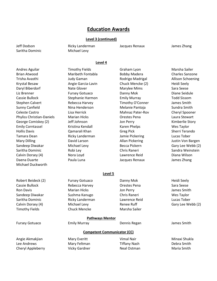#### **Level 3 (continued)**

Saritha Dominic Michael Levy

Jeff Dodson Ricky Landerman Jacques Renaux James Zhang

#### **Level 4**

Andres Aguilar Timothy Fields Graham Lyon Marsha Sailer Brian Atwood **Example 20 Maribeth Fontabla** Bobby Madera Charles Sanzone Trisha Avasthi Judy Gaman Rodrigo Madrigal Allison Schoening Krystal Besaw **Angie Garcia-Lavin** Chuck Mencke (2) Heidi Seely Daryl Biberdorf Nate Glover Marylee Mims Sara Seese Liz Brenner **Fursey Gotuaco Communist Communist Communist Communist Communist Communist Communist Communist Communist Communist Communist Communist Communist Communist Communist Communist Communist Communist Communist Co** Cassie Bullock Stephanie Harmon Emily Murray Todd Sissom Stephen Calvert **Rebecca Harvey** Timothy O'Conner James Smith Sunny Canfield **Nina Henderson** Melanie Pantoja Sundra Smith Celeste Castro Lisa Herrick Mahnaz Pater-Rov Cheryl Spooner Phyliss Christian-Daniels Marian Hicks Orestes Pena Laura Stewart George Comiskey (2) The Jeff Johnson Solomon Jon Perry The Story Kimberlie Story Emily Corntassel **Kristina Kendall** Karen Phelps Wes Taylor Hollis Davis Qamarali Khan Greg Pick Sherri Terando Tamara Dean Ricky Landerman Jamie Pickering Lucas Tober Mary Dilling **Constructs Constructs** David Larson **Allan Pickering Constructs Constructs** Justin Von Bargen Sandeep Diwakar **Michael Levy** Becca Pickern Gary Lee Webb (2) Saritha Dominic **Robi Ley** Robi Ley Chris Raneri Sandra Weinstein Calvin Dorsey (4) Nora Loyd Lawrence Reid Diana Wilson Daena Duarte Paula Luna Jacques Renaux James Zhang Michael Duckworth **Level 5** Robert Beideck (2) Fursey Gotuaco Channy Mok Heidi Seely Cassie Bullock Rebecca Harvey Orestes Pena Sara Seese Ron Davis **Marian Hicks** Jon Perry **Marian Hicks** Jon Perry Shaw Smith Sandeep Diwakar Sushma Kanugo Chris Raneri Wes Taylor Saritha Dominic **Ricky Landerman** Lawrence Reid Lucas Tober Lucas Tober Calvin Dorsey (4) **Michael Levy** Renee Ruff Gary Lee Webb (2) Timothy Fields **Chuck Mencke** Marsha Sailer **Pathways Mentor** Fursey Gotuaco **Emily Murray** Dennis Regan James Smith **Competent Communicator (CC)** Angie Akmakjian **Mary Everitt** Mary Everitt Vimal Nair Manus Minaxi Shukla Lee Andrews **Mary Feltman** Tiffany Nash Debra Smith Cheryl Appleberry **Cheryl Appleberry** Vicky Gardner Neal Ostman Neal Ostman Maria Smith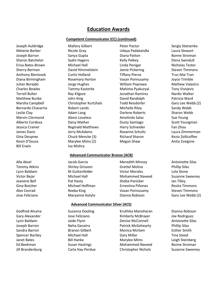#### **Competent Communicator (CC) (continued)**

Bill Erwin **IVa Mishra** 

Alla Aksel **Alla Aksel** Jacob Garcia **Meredith Mincey** Antoinette Silas

Joseph Auldridge **Mallory Gilbert** Peter Pactor Peter Pactor Sergiy Stetsenko Melanie Barber Nicole Gray Udaya Padakandla Laura Stewart Joseph Barron **Sanya Gupta** Cupta Diana Patton **Bonne Stroman** Sharon Batchelor **Sydni Hagens** Kelly Pelkey **Kelly Pelkey** Elena Swindull Erisa Bates-Brown Michael Hall Linda Penigar Nicholas Tester Sherry Berman **David Himmelstein** Jamie Pickering Steven Timmons Anthony Bieniosek Curtis Holland Tiffany Pierce Truc-Mai Tran Diana Birmingham Rosemary Horton Vasan Ponnusamy Joyce Trimble Julian Borejdo Jorge Hughes William Poprawa Mathew Valastro Charles Bowles **Tammy Kasterke** Mahima Pyakuryal Tony Visnjevic Terrell Bulter **Ray Kilgore Ray Kilgore** Jonathan Ramirez **Nardis Walker** Nardis Walker Matthew Bunke **Matthew Bunke Communist Communist Communist Communist Communist Communist Communist Communist Communist Communist Communist Communist Communist Communist Communist Communist Communist Communist Communist Com** Marsha Campbell **Christopher Kurtzhals** Todd Reisdorfer Gary Lee Webb (2) Bernardo Chavarria Robert Lands Michelle Riley Sandy Webb Leslie Clay **Canadia Adam Lang** Darlene Roberts Sharon Webb **Clay** Class Adam Lang Mervin Clermond **Alexis Loveless** Amelinda Salas Sue Young Alberto Cordova **Daisy Mather Daisy Mather** Dusty Santiago Scott Youngman Jessica Cramer **Reginald Matthews** Harry Schneider Fan Zhou James Davis Jerry McAdams Roxanne Schultz Laura Zimmerman Gina Deupree **Chuck Mencke (3)** Richard Sharon Kezia Zollicoffee (3) Kevin D'Souza Marylee Mims (2) Megan Shaw Anita Zvaigzne

#### **Advanced Communicator Bronze (ACB)**

Tommy Atkins **Shirley Grissom** Grettel Molina Phillip Silas **Phillip Silas** Lynn Baldwin **Nightstander** Nightstander Morales Allen Cola Stone Victor Bejar **Michael Hall Mohammed Naveed** Suzanne Sweeney Jeanene Bell Pat Hasty Sheba Panicker Ian Tilley Gina Butcher **Michael Hoffman** Ernestina Piñones Rosita Timmons Alex Conrad Reeba King Vasan Ponnusamy Steven Timmons Jose Feliciano Maryanne Kotylo Dianna Robison Gary Lee Webb (2)

#### **Advanced Communicator Silver (ACS)**

Godfred Ahuma **Suzanna Dooling Suzanna Kruthika Manoharan** Dianna Robison

Gary Alexander **Solution Clube Feliciano Clube Clube Accompany Alexander McBrayer** Joe Rodriguez Lynn Baldwin Jaide Flynn Denise McConnell Antoinette Silas Joseph Barron Neha Ganatra Patrick McGehearty Phillip Silas Sandra Barron **Branon Gilbert** Monica McHam **Esther Smith** Branon Gilbert Monica McHam **Esther Smith** Spencer Bartley **Michael Hall Cary Miller** Gary Miller Care Construction of the Steed Janet Bates **Bill Hanke** Marylee Mims Leigh Steinberg Ed Beekman Susan Hastings Mohammed Naveed Bonne Stroman Jill Brandenburg Carla Hay-Perdue Christopher Nichols Suzanne Sweeney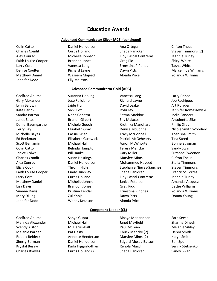#### **Advanced Communicator Silver (ACS) (continued)**

Jennifer Dodd Elly Malaxos

Colin Catto **Catto** Daniel Henderson Ana Ortega Clifton Theus

Charles Condit Curtis Holland Sheba Panicker Steven Timmons (2) Alex Conrad Michelle Johnson Eloy Pascal Contreras Jeannie Turley Faith Louise Cooper **Brandon Jones** Greg Pick **Shiryl White** Shiryl White Larry Core Vanessa Lang Ernestina Piñones Tasha White Denise Coulter **Richard Layne Dawn Pitts** Marcelinda Williams **Dawn Pitts** Marcelinda Williams

Godfred Ahuma **Suzanna Dooling Communist Communist Communist** Larry Prince Jennifer Dodd Wendy Knutson Alonda Price

Matthew Daniel Waseem Majeed Alonda Price Yolanda Williams

# **Advanced Communicator Gold (ACG)**

Gary Alexander **Solution Clube Feliciano Richard Layne** Rodriguez and Solution of the Rodriguez Lynn Baldwin **David Leake** Art Rolader Communist Communist Communist Communist Communist Communist Communist Comm Kate Barlow **Vicki Fox** Vicki Fox Robi Ley Robi Ley Barlow Jennifer Romaszewski Sandra Barron **Neha Ganatra** Setma Maddox **Neha Ganatra** Setma Maddox Setma Maddox Setma Maddox Setma Maddox Setma Maddox Setma Maddox Setma Maddox Setma Maddox Setma Maddox Setma Maddox Setma Maddox Setma Maddox Setma Mad Janet Bates **Branon Gilbert** Elly Malaxos **Antoinette Silas** Antoinette Silas Daniel Baumgartner Michele Gooch Kruthika Manoharan Phillip Silas Terry Bay Elizabeth Gray Denise McConnell Nicole Smith Woodard Michelle Bayes Cassie Grier Tracy McConnell Thenisha Smith Ed Beekman Elizabeth Gustwick Patrick McGehearty Tina Steed Scott Benjamin **Michael Hall Michael Hall** Aaron McWhorter **Bonne Stroman** Colin Catto Belinda Hampton Teresa Mencke Sandy Swan Janice Colwell **Source Accord Bill Hanke** Gary Miller Gary Guide Suzanne Sweeney Charles Condit **Susan Hastings** Marylee Mims Clifton Theus Alex Conrad Daniel Henderson Mohammed Naveed Stella Timmons Elicia Cook Thronn Hicks Stephanie Nieves-Sanchez Steven Timmons Faith Louise Cooper **Cindy Hinckley** Sheba Panicker Francisco Torres Larry Core Curtis Holland Eloy Pascal Contreras Jeannie Turley Matthew Daniel Michelle Johnson Janice Peterson Amanda Vasquez Liza Davis **Brandon Jones** Greg Pick **Bettie Williams** Greg Pick Suanna Davis **Kristina Kendall** Ernestina Piñones (Yolanda Williams Controller et al., 2014) Mary Dilling **National Communist Communist Communist Communist Communist Communist Communist Communist Communist Communist Communist Communist Communist Communist Communist Communist Communist Communist Communist Communist** 

#### **Competent Leader (CL)**

Godfred Ahuma Sanya Gupta Binaya Manandhar Sara Seese

Malinda Alexander Michael Hall Janet Mayfield Sharma Dinesh Wendy Alston **M. Harris-Hall M. Harris-Hall** Paul McLean Melanie Sibley Melanie Barber Pat Hasty Chuck Mencke (2) Debra Smith Robert Beideck **Annette Henderson** Marylee Mims (2) Karyn Smith Sherry Berman Daniel Henderson Edgard Moses-Batson Ben Sporl Krystal Besaw 
Renola Murph Sergiy Stetsenko 
Renola Murph Charles Sergiy Stetsenko Charles Bowles **Curtis Holland (2)** Sheba Panicker Sandy Swan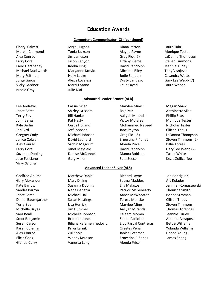#### **Competent Communicator (CL) (continued)**

Cheryl Calvert **Cheryl Calvert** Jorge Hughes **Diana Patton** Laura Tahri Mervin Clermond Tonia Jackson and Alayna Payne Monique Tester Alex Conrad Jim Jameson Greg Pick (7) LaDonna Thompson Larry Core **Core Steven Timmons** Jason Kenyon **Tiffany Pierce** Steven Timmons Farid Darabadey **Reeba King Communist Care Care Care Accord Paris Control** Pavid Randolph Jeannie Turley Michael Duckworth Maryanne Kotylo Michelle Riley Tony Visnjevic Mary Feltman **Mary Feltman** Holly Leake Jodie Sanders Casandra Watts Jorge Garcia Alexis Loveless Dusty Santiago Gary Lee Webb (7) Vicky Gardner Marci Lozano Celia Sayad Laura Weber Nicole Gray Julie Mai

Lee Andrews **Cassie Grier** Marylee Mims Megan Shaw Vicky Gardner

Glenda Curry **Cannon Cleanual** Vanessa Lang **Alonda Price** 

#### **Advanced Leader Bronze (ALB)**

Janet Bates **Shirley Grissom** Raja Mir Antoinette Silas Antoinette Silas Terry Bay **Bill Hanke** Aaliyah Miranda Phillip Silas John Bergs **Pat Hasty** Pat Hasty **Pat Hasty** Victor Morales Monique Tester Kyle Berlin **Mohammed Naveed** Micholas Tester Jeri Bird Jeff Johnson Jane Peyton Clifton Theus Alex Conrad Sachin Magdum Alonda Price Billie Torres Suzanna Dooling **Denise McConnell** Dianna Robison **Tasha White** Dianna Robison Jose Feliciano **Gary Miller** Sara Seese Kezia Zollicoffee **Constanting Constanting Constanting Constanting Constanting Constanting Constanting Constanting Constanting Constanting Constanting Constanting Constanting Constan** 

#### **Advanced Leader Silver (ALS)**

Gary Alexander **Mary Dilling** Setma Maddox **Art Rolader** Setma Maddox Art Rolader Kate Barlow **Suzanna Dooling Filly Malaxos** Elly Malaxos **Jennifer Romaszewski** Sandra Barron Neha Ganatra Patrick McGehearty Thenisha Smith Janet Bates Michael Hall Aaron McWhorter Bonne Stroman Daniel Baumgartner Susan Hastings Teresa Mencke Clifton Theus Terry Bay Lisa Herrick Marylee Mims Steven Timmons Michelle Bayes Jim Hummel Aaliyah Miranda Thomas Torlincasi Sara Beall Michelle Johnson Kaleem Momin Jeannie Turley Scott Benjamin **Brandon Jones** Sheba Panicker Amanda Vasquez Susan Carson Biljana Karamehmedovic Eloy Pascal Contreras Bettie Williams Karen Coleman **Priya Karnik Coleman Priya Karnik Coleman** Coleman Priya Karnik Coleman Priya Karnik Coleman Priya Alex Conrad Zul Khoja Janice Peterson Donna Young Elicia Cook Wendy Knutson Ernestina Piñones James Zhang

Godfred Ahuma **Matthew Daniel** Richard Layne Joe Rodriguez

Gregory Cody **Michael Johnson** Greg Pick (5) LaDonna Thompson Janice Colwell David Leonard Ernestina Piñones Steven Timmons (2) Larry Core **Core** Janet Mayfield **David Randolph** Gary Lee Webb (2)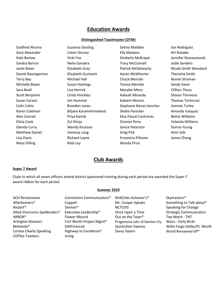#### **Distinguished Toastmaster (DTM)**

Mary Dilling **Notify Alonda Price** Robi Ley **Alonda Price** 

Godfred Ahuma **Suzanna Dooling** Setma Maddox Setma Maddox See Rodriguez Gary Alexander **Calvin Dorsey Elly Malaxos** Art Rolader Kate Barlow **Vicki Fox Vicki Fox Kimberly McBrayer** Jennifer Romaszewski Sandra Barron Neha Ganatra Tracy McConnell Jodie Sanders Janet Bates **Elizabeth Gray** Patrick McGehearty Nicole Smith Woodard Daniel Baumgartner Elizabeth Gustwick Aaron McWhorter Thenisha Smith Terry Bay Michael Hall Chuck Mencke Bonne Stroman Michelle Bayes Susan Hastings Teresa Mencke Sandy Swan Sara Beall **Sanct Except Lisa Herrick** Marylee Mims Clifton Theus Scott Benjamin Cindy Hinckley Aaliyah Miranda Steven Timmons Susan Carson Jim Hummel Kaleem Momin Thomas Torlincasi Colin Catto **Brandon Jones** Stephanie Nieves-Sanchez Jeannie Turley Karen Coleman **Biljana Karamehmedovic** Sheba Panicker Amanda Vasquez Alex Conrad **Priya Karnik Eloy Pascal Contreras** Bettie Williams Bettie Williams Elicia Cook Zul Khoja Orestes Pena Yolanda Williams Glenda Curry **School Curry Constructs** Wendy Knutson **Janice Peterson** Donna Young Matthew Daniel **State Communist Communist Communist Communist Communist Communist Communist Communist Communist Communist Communist Communist Communist Communist Communist Communist Communist Communist Communist Communist** Liza Davis Richard Layne Ernestina Piñones James Zhang

# **Club Awards**

#### **Super 7 Award**

Clubs in which all seven officers attend district sponsored training during each period are awarded the Super 7 award ribbon for each period.

#### **Summer 2019**

| <b>ACH Renaissance</b>           | Connection Communicators* | MidCities Achiever's*          | Skymasters*                    |
|----------------------------------|---------------------------|--------------------------------|--------------------------------|
| Afterburners*                    | Coppell                   | Mr. Cooper Speaks              | Something to Talk about*       |
| Airport*                         | Denton*                   | <b>NCTCOG</b>                  | Speaking for Change            |
| Allied Electronics Spellbinders* | Executive Leadership*     | Once Upon a Time               | <b>Strategic Communicators</b> |
| ARBOR*                           | <b>Flower Mound</b>       | Out on the Town*               | Top Notch - TNT                |
| <b>Arlington Nooners</b>         | Fort Worth Project Mgmt*  | Progressive Ldrs of Denton Cty | Waco - Early Birds             |
| Bethesda*                        | <b>GMFinancial</b>        | Quicksilver Express            | Wells Fargo Dallas/Ft. Worth   |
| <b>Centex Clearly Speaking</b>   | Highway to Excellence*    | Savvy Sayers                   | World Renowned GP*             |
| <b>COFfee Toasters</b>           | Irving                    |                                |                                |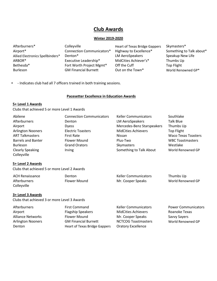#### **Winter 2019-2020**

| Afterburners*<br>Airport*        | Colleyville<br><b>Connection Communicators*</b><br>Denton <sup>*</sup> | Heart of Texas Bridge Gappers<br>Highway to Excellence* | Skymasters*<br>Something to Talk about* |
|----------------------------------|------------------------------------------------------------------------|---------------------------------------------------------|-----------------------------------------|
| Allied Electronics Spellbinders* | Executive Leadership*                                                  | LM AeroSpeakers                                         | Speakup New Life                        |
| ARBOR*                           |                                                                        | MidCities Achiever's*                                   | Thumbs Up                               |
| Bethesda*                        | Fort Worth Project Mgmt*                                               | Off the Cuff                                            | Top Flight                              |
| <b>Burleson</b>                  | <b>GM Financial Burnett</b>                                            | Out on the Town*                                        | World Renowned GP*                      |

- Indicates club had all 7 officers trained in both training sessions.

#### **Pacesetter Excellence in Education Awards**

#### **5+ Level 1 Awards**

Clubs that achieved 5 or more Level 1 Awards

| Abilene                   | <b>Connection Communicators</b> | <b>Keller Communicators</b> | Southlake                  |
|---------------------------|---------------------------------|-----------------------------|----------------------------|
| Afterburners              | Denton                          | <b>LM AeroSpeakers</b>      | Talk Blue                  |
| Airport                   | <b>Dyess</b>                    | Mercedes-Benz Starspeakers  | Thumbs Up                  |
| <b>Arlington Nooners</b>  | <b>Electric Toasters</b>        | <b>MidCities Achievers</b>  | <b>Top Flight</b>          |
| <b>ART Talkmasters</b>    | First Rate                      | Nissan                      | <b>Waco Texas Toasters</b> |
| <b>Barrels and Banter</b> | <b>Flower Mound</b>             | Plus-Two                    | <b>WBC Toastmasters</b>    |
| <b>Burleson</b>           | <b>Grand Orators</b>            | Skymasters                  | Westlake                   |
| <b>Clearly Speaking</b>   | <b>Irving</b>                   | Something to Talk About     | World Renowned GP          |
| Colleyville               |                                 |                             |                            |

#### **5+ Level 2 Awards**

Clubs that achieved 5 or more Level 2 Awards

| <b>ACH Renaissance</b> | Denton       | <b>Keller Communicators</b> | Thumbs Up         |
|------------------------|--------------|-----------------------------|-------------------|
| Afterburners           | Flower Mound | Mr. Cooper Speaks           | World Renowned GP |
| Colleyville            |              |                             |                   |

#### **3+ Level 3 Awards**

Clubs that achieved 3 or more Level 3 Awards

| Afterburners             | First Command                 | <b>Keller Communicators</b> | <b>Power Communicators</b> |
|--------------------------|-------------------------------|-----------------------------|----------------------------|
| Airport                  | <b>Flagship Speakers</b>      | <b>MidCities Achievers</b>  | Roanoke Texas              |
| <b>Alliance Networks</b> | Flower Mound                  | Mr. Cooper Speaks           | Savvy Sayers               |
| <b>Arlington Nooners</b> | <b>GM Financial Burnett</b>   | <b>NCTCOG Toastmasters</b>  | World Renowned GP          |
| Denton                   | Heart of Texas Bridge Gappers | <b>Oratory Excellence</b>   |                            |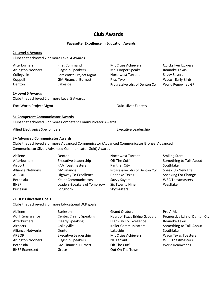#### **Pacesetter Excellence in Education Awards**

#### **2+ Level 4 Awards**

Clubs that achieved 2 or more Level 4 Awards

| Afterburners      | <b>First Command</b>        |
|-------------------|-----------------------------|
| Arlington Nooners | <b>Flagship Speakers</b>    |
| Colleyville       | Fort Worth Project Mgmt     |
| Coppell           | <b>GM Financial Burnett</b> |
| Denton            | Lakeside                    |
|                   |                             |

#### **2+ Level 5 Awards**

Clubs that achieved 2 or more Level 5 Awards

Fort Worth Project Mgmt **Community** Controller Manual Automobile Controller Controller Controller Controller Controller Controller Controller Controller Controller Controller Controller Controller Controller Controller Con

#### **5+ Competent Communicator Awards**

Clubs that achieved 5 or more Competent Communicator Awards

Allied Electronics Spellbinders **Executive Leadership** Executive Leadership

#### **3+ Advanced Communicator Awards**

Clubs that achieved 3 or more Advanced Communicator (Advanced Communicator Bronze, Advanced Communicator Silver, Advanced Communicator Gold) Awards

| Abilene                  | Denton                       | <b>Northwest Tarrant</b>       | <b>Smiling Stars</b>    |
|--------------------------|------------------------------|--------------------------------|-------------------------|
| Afterburners             | <b>Executive Leadership</b>  | Off The Cuff                   | Something to Talk About |
| Airport                  | <b>FAA Toastmasters</b>      | Panther City                   | Southlake               |
| <b>Alliance Networks</b> | GMFinancial                  | Progressive Ldrs of Denton Cty | Speak Up New Life       |
| ARBOR                    | Highway To Excellence        | Roanoke Texas                  | Speaking For Change     |
| Bethesda                 | <b>Keller Communicators</b>  | Savvy Sayers                   | <b>WBC Toastmasters</b> |
| <b>BNSF</b>              | Leaders-Speakers of Tomorrow | <b>Six Twenty Nine</b>         | Westlake                |
| <b>Burleson</b>          | Longhorn                     | Skymasters                     |                         |

#### **7+ DCP Education Goals**

Clubs that achieved 7 or more Educational DCP goals

| Abilene                  | <b>Burleson</b>                | <b>Grand Orators</b>                 | Pro A.M.                       |
|--------------------------|--------------------------------|--------------------------------------|--------------------------------|
| <b>ACH Renaissance</b>   | <b>Centex Clearly Speaking</b> | <b>Heart of Texas Bridge Gappers</b> | Progressive Ldrs of Denton Cty |
| Afterburners             | <b>Clearly Speaking</b>        | <b>Highway To Excellence</b>         | Roanoke Texas                  |
| Airports                 | Colleyville                    | <b>Keller Communicators</b>          | Something to Talk About        |
| <b>Alliance Networks</b> | Denton                         | Lakeside                             | Southlake                      |
| <b>ARBOR</b>             | <b>Executive Leadership</b>    | <b>MidCities Achievers</b>           | <b>Waco Texas Toasters</b>     |
| <b>Arlington Nooners</b> | <b>Flagship Speakers</b>       | <b>NE Tarrant</b>                    | <b>WBC Toastmasters</b>        |
| Bethesda                 | <b>GM Financial Burnett</b>    | Off The Cuff                         | World Renowned GP              |
| <b>BNSF Expressed</b>    | Grace                          | Out On The Town                      |                                |

MidCities Achievers **After Connect Community** Quicksilver Express Mr. Cooper Speaks Roanoke Texas Northwest Tarrant Savvy Sayers Plus-Two Waco - Early Birds Progressive Ldrs of Denton Cty World Renowned GP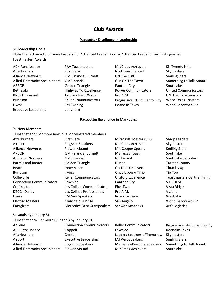## **Pacesetter Excellence in Leadership**

## **3+ Leadership Goals**

Clubs that achieved 3 or more Leadership (Advanced Leader Bronze, Advanced Leader Silver, Distinguished Toastmaster) Awards

| <b>ACH Renaissance</b>                 | <b>FAA Toastmasters</b>      | <b>MidCities Achievers</b>     | <b>Six Twenty Nine</b>      |
|----------------------------------------|------------------------------|--------------------------------|-----------------------------|
| Afterburners                           | <b>First Rate</b>            | <b>Northwest Tarrant</b>       | Skymasters                  |
| <b>Alliance Networks</b>               | <b>GM Financial Burnett</b>  | Off The Cuff                   | <b>Smiling Stars</b>        |
| <b>Allied Electronics Spellbinders</b> | <b>GMFinancial</b>           | Out On The Town                | Something to Talk About     |
| <b>ARBOR</b>                           | Golden Triangle              | Panther City                   | Southlake                   |
| Bethesda                               | <b>Highway To Excellence</b> | <b>Power Communicators</b>     | <b>United Communicators</b> |
| <b>BNSF Expressed</b>                  | Jacobs - Fort Worth          | Pro A.M.                       | <b>UNTHSC Toastmasters</b>  |
| <b>Burleson</b>                        | <b>Keller Communicators</b>  | Progressive Ldrs of Denton Cty | <b>Waco Texas Toasters</b>  |
| <b>Dyess</b>                           | LM Evening                   | Roanoke Texas                  | World Renowned GP           |
| <b>Executive Leadership</b>            | Longhorn                     |                                |                             |

#### **Pacesetter Excellence in Marketing**

#### **9+ New Members**

Clubs that add 9 or more new, dual or reinstated members

| Clubs that and 5 of filore flew, unar or remstated incliners |                             |                            |                                    |
|--------------------------------------------------------------|-----------------------------|----------------------------|------------------------------------|
| Afterburners                                                 | <b>First Rate</b>           | Microsoft Toasters 365     | <b>Sharp Leaders</b>               |
| Airport                                                      | <b>Flagship Speakers</b>    | <b>MidCities Achievers</b> | <b>Skymasters</b>                  |
| <b>Alliance Networks</b>                                     | <b>Flower Mound</b>         | Mr. Cooper Speaks          | <b>Smiling Stars</b>               |
| <b>ARBOR</b>                                                 | <b>GM Financial Burnett</b> | <b>MS Texas Toast</b>      | Southlake                          |
| <b>Arlington Nooners</b>                                     | <b>GMFinancial</b>          | <b>NE Tarrant</b>          | Southlake Saturday                 |
| <b>Barrels and Banter</b>                                    | Golden Triangle             | <b>Nissan</b>              | <b>Tarrant County</b>              |
| Beach                                                        | <b>Inner Voice</b>          | Oh Thank Heaven            | Thumbs Up                          |
| Burleson                                                     | <b>Irving</b>               | Once Upon A Time           | Tip Top                            |
| Colleyville                                                  | <b>Keller Communicators</b> | <b>Oratory Excellence</b>  | <b>Toastmasters Gartner Irving</b> |
| <b>Connection Communicators</b>                              | Lakeside                    | Panther City               | VARIDESK                           |
| Crefmasters                                                  | Las Colinas Communicators   | Plus-Two                   | Vista Ridge                        |
| DTCC - Dallas                                                | Las Colinas Professionals   | Pro A.M.                   | Vizient                            |
| <b>Dyess</b>                                                 | <b>LM AeroSpeakers</b>      | Roanoke Texas              | Westlake                           |
| <b>Electric Toasters</b>                                     | Mansfield Sunrise           | San Angelo                 | World Renowned GP                  |
| Energizers                                                   | Mercedes-Benz Starspeakers  | Schwab Schpeaks            | <b>XPO Logistics</b>               |
| 5+ Goals by January 31                                       |                             |                            |                                    |
| Clubs that earn 5 or more DCP goals by January 31            |                             |                            |                                    |
|                                                              |                             |                            |                                    |

| Clubs that earn 5 or more DCP goals by January 31 |                                 |                              |                                |
|---------------------------------------------------|---------------------------------|------------------------------|--------------------------------|
| Abilene                                           | <b>Connection Communicators</b> | <b>Keller Communicators</b>  | Progressive Ldrs of Denton Cty |
| <b>ACH Renaissance</b>                            | Coppell                         | Lakeside                     | Roanoke Texas                  |
| Afterburners                                      | <b>Denton</b>                   | Leaders-Speakers of Tomorrow | Skymasters                     |
| Airport                                           | <b>Executive Leadership</b>     | LM AeroSpeakers              | <b>Smiling Stars</b>           |
| <b>Alliance Networks</b>                          | <b>Flagship Speakers</b>        | Mercedes-Benz Starspeakers   | Something to Talk About        |
| <b>Allied Electronics Spellbinders</b>            | <b>Flower Mound</b>             | <b>MidCities Achievers</b>   | Southlake                      |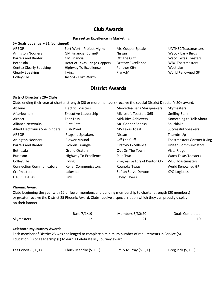#### **Pacesetter Excellence in Marketing**

#### **5+ Goals by January 31 (continued)**

ARBOR Fort Worth Project Mgmt Mr. Cooper Speaks UNTHSC Toastmasters Colleyville Jacobs - Fort Worth

Arlington Nooners GM Financial Burnett Nissan Waco - Early Birds Barrels and Banter **GMFinancial** GME Cuff The Cuff Waco Texas Toasters Bethesda Heart of Texas Bridge Gappers Oratory Excellence WBC Toastmasters Centex Clearly Speaking Highway To Excellence Panther City Funchion Mestlake Clearly Speaking Trying Irving Trying Pro A.M. Nearly Speaking World Renowned GP

# **District Awards**

#### **District Director's 20+ Clubs**

Clubs ending their year at charter strength (20 or more members) receive the special District Director's 20+ award.

| Abilene                                | <b>Electric Toasters</b>     | Mercedes-Benz Starspeakers     | Skymasters                         |
|----------------------------------------|------------------------------|--------------------------------|------------------------------------|
| Afterburners                           | <b>Executive Leadership</b>  | <b>Microsoft Toasters 365</b>  | <b>Smiling Stars</b>               |
| Airport                                | Fear-Less                    | <b>MidCities Achievers</b>     | Something to Talk About            |
| <b>Alliance Networks</b>               | <b>First Rate</b>            | Mr. Cooper Speaks              | Southlake                          |
| <b>Allied Electronics Spellbinders</b> | Fish Pond                    | <b>MS Texas Toast</b>          | Successful Speakers                |
| <b>ARBOR</b>                           | <b>Flagship Speakers</b>     | Nissan                         | Thumbs Up                          |
| <b>Arlington Nooners</b>               | Flower Mound                 | Off The Cuff                   | <b>Toastmasters Gartner Irving</b> |
| <b>Barrels and Banter</b>              | Golden Triangle              | <b>Oratory Excellence</b>      | <b>United Communicators</b>        |
| <b>Bethesda</b>                        | <b>Grand Orators</b>         | Out On The Town                | Vista Ridge                        |
| <b>Burleson</b>                        | <b>Highway To Excellence</b> | Plus-Two                       | <b>Waco Texas Toasters</b>         |
| Colleyville                            | <b>Irving</b>                | Progressive Ldrs of Denton Cty | <b>WBC Toastmasters</b>            |
| <b>Connection Communicators</b>        | <b>Keller Communicators</b>  | Roanoke Texas                  | World Renowned GP                  |
| Crefmasters                            | Lakeside                     | Safran Serve Denton            | <b>XPO Logistics</b>               |
| DTCC - Dallas                          | Link                         | Savvy Sayers                   |                                    |

#### **Phoenix Award**

Clubs beginning the year with 12 or fewer members and building membership to charter strength (20 members) or greater receive the District 25 Phoenix Award. Clubs receive a special ribbon which they can proudly display on their banner.

|            | Base 7/1/19 | Members 6/30/20 | <b>Goals Completed</b> |
|------------|-------------|-----------------|------------------------|
| Skymasters |             |                 |                        |

#### **Celebrate My Journey Awards**

Each member of District 25 was challenged to complete a minimum number of requirements in Service (S), Education (E) or Leadership (L) to earn a Celebrate My Journey award.

| Les Condit (S, E, L) | Chuck Mencke (S, E, L) | Emily Murray (S, E, L) | Greg Pick (S, E, L) |
|----------------------|------------------------|------------------------|---------------------|
|----------------------|------------------------|------------------------|---------------------|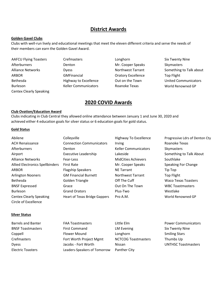# **District Awards**

#### **Golden Gavel Clubs**

Clubs with well-run lively and educational meetings that meet the eleven different criteria and serve the needs of their members can earn the Golden Gavel Award.

AAFCU Flying Toasters Crefmasters Crefmasters Longhorn Six Twenty Nine Afterburners **Denton** Denton Mr. Cooper Speaks Skymasters Alliance Networks **Notify Constructed Burgers** Northwest Tarrant Something to Talk about ARBOR GMFinancial Oratory Excellence Top Flight Bethesda **Excellence Highway to Excellence Out on the Town** United Communicators Burleson **Keller Communicators** Roanoke Texas World Renowned GP Centex Clearly Speaking

- 
- 

# **2020 COVID Awards**

#### **Club Ovation/Education Award**

Clubs indicating in Club Central they allowed online attendance between January 1 and June 30, 2020 and achieved either 4 education goals for silver status or 6 education goals for gold status.

#### **Gold Status**

| Abilene                                | Colleyville                          | <b>Highway To Excellence</b> | Progressive Ldrs of Denton Cty |
|----------------------------------------|--------------------------------------|------------------------------|--------------------------------|
| <b>ACH Renaissance</b>                 | <b>Connection Communicators</b>      | Irving                       | Roanoke Texas                  |
| <b>Afterburners</b>                    | Denton                               | <b>Keller Communicators</b>  | Skymasters                     |
| Airport                                | <b>Executive Leadership</b>          | Lakeside                     | Something to Talk About        |
| <b>Alliance Networks</b>               | Fear-Less                            | <b>MidCities Achievers</b>   | Southlake                      |
| <b>Allied Electronics Spellbinders</b> | <b>First Rate</b>                    | Mr. Cooper Speaks            | Speaking For Change            |
| <b>ARBOR</b>                           | <b>Flagship Speakers</b>             | <b>NE Tarrant</b>            | Tip Top                        |
| <b>Arlington Nooners</b>               | <b>GM Financial Burnett</b>          | Northwest Tarrant            | <b>Top Flight</b>              |
| <b>Bethesda</b>                        | Golden Triangle                      | Off The Cuff                 | <b>Waco Texas Toasters</b>     |
| <b>BNSF Expressed</b>                  | Grace                                | Out On The Town              | <b>WBC Toastmasters</b>        |
| <b>Burleson</b>                        | <b>Grand Orators</b>                 | Plus-Two                     | Westlake                       |
| <b>Centex Clearly Speaking</b>         | <b>Heart of Texas Bridge Gappers</b> | Pro A.M.                     | World Renowned GP              |
| Circle of Excellence                   |                                      |                              |                                |

#### **Silver Status**

Barrels and Banter **FAA Toastmasters** Little Elm **Power Communicators Barrels** and Banter BNSF Toastmasters **First Command Example 20** LM Evening Six Twenty Nine Coppell Flower Mound Longhorn Smiling Stars Crefmasters Fort Worth Project Mgmt NCTCOG Toastmasters Thumbs Up Dyess The State of the Control of the Control of the UNTHSC Toastmasters because the UNTHSC Toastmasters Electric Toasters Leaders-Speakers of Tomorrow Panther City

- 
-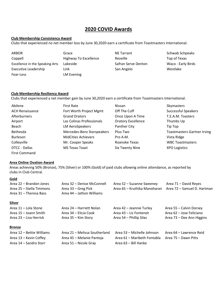# **2020 COVID Awards**

#### **Club Membership Consistency Award**

Clubs that experienced no net member loss by June 30,2020 earn a certificate from Toastmasters International.

| ARBOR                           | Grace                 | <b>NE Tarrant</b>   | Schwab Schpeaks    |
|---------------------------------|-----------------------|---------------------|--------------------|
| Coppell                         | Highway To Excellence | Reveille            | Top of Texas       |
| Excellence in the Speaking Arts | Lakeside              | Safran Serve Denton | Waco - Early Birds |
| <b>Executive Leadership</b>     | Link                  | San Angelo          | Westlake           |
| Fear-Less                       | LM Evening            |                     |                    |

#### **Club Membership Resiliency Award**

Clubs that experienced a net member gain by June 30,2020 earn a certificate from Toastmasters International.

| Abilene                | <b>First Rate</b>          | Nissan                    | Skymasters                         |
|------------------------|----------------------------|---------------------------|------------------------------------|
| <b>ACH Renaissance</b> | Fort Worth Project Mgmt    | Off The Cuff              | Successful Speakers                |
| Afterburners           | <b>Grand Orators</b>       | Once Upon A Time          | T.E.A.M. Toasters                  |
| Airport                | Las Colinas Professionals  | <b>Oratory Excellence</b> | Thumbs Up                          |
| Beach                  | LM AeroSpeakers            | Panther City              | Tip Top                            |
| <b>Bethesda</b>        | Mercedes-Benz Starspeakers | Plus-Two                  | <b>Toastmasters Gartner Irving</b> |
| <b>Burleson</b>        | <b>MidCities Achievers</b> | Pro A.M.                  | Vista Ridge                        |
| Colleyville            | Mr. Cooper Speaks          | Roanoke Texas             | <b>WBC Toastmasters</b>            |
| DTCC - Dallas          | <b>MS Texas Toast</b>      | <b>Six Twenty Nine</b>    | <b>XPO Logistics</b>               |
| <b>First Command</b>   |                            |                           |                                    |

#### **Area Online Ovation Award**

Areas achieving 50% (Bronze), 75% (Silver) or 100% (Gold) of paid clubs allowing online attendance, as reported by clubs in Club Central.

#### **Gold**

| Area 22 – Brandon Jones  | Area 32 – Denise McConnell | Area 52 – Suzanne Sweeney    | Area 71 – David Reyes       |
|--------------------------|----------------------------|------------------------------|-----------------------------|
| Area 25 – Stella Timmons | Area 33 – Greg Pick        | Area 65 – Kruthika Manoharan | Area 72 – Samuel D. Hartman |
| Area 31 – Theresa Bass   | Area 44 – Jathon Williams  |                              |                             |

#### **Silver**

| Area 11 – Lola Stone   | Area 24 – Harriett Nolan | Area 42 – Jeannie Turley | Area 55 – Calvin Dorsey   |
|------------------------|--------------------------|--------------------------|---------------------------|
| Area 15 – Joann Smith  | Area 34 – Elicia Cook    | Area 43 – Liz Fontenot   | Area 62 – Jose Feliciano  |
| Area 23 – Lisa Herrick | Area 35 – Kim Story      | Area 54 – Phillip Silas  | Area 73 – Dee Ann Higgins |

#### **Bronze**

| Area 12 – Bettie Williams | Area 21 – Melissa Southerland | Area 53 – Michelle Johnson                       | Area 64 – Lawrence Reid |
|---------------------------|-------------------------------|--------------------------------------------------|-------------------------|
| Area 13 – Kevin Coffey    | Area 45 – Melanie Pantoja     | Area 61 – Maribeth Fontabla Area 75 – Dawn Pitts |                         |
| Area 14 – Sandra Starr    | Area 51 – Nicole Gray         | Area 63 – Bill Hanke                             |                         |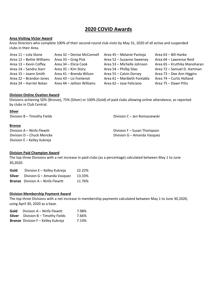# **2020 COVID Awards**

#### **Area Visiting Victor Award**

Area Directors who complete 100% of their second-round club visits by May 31, 2020 of all active and suspended clubs in their Area.

| Area 11 - Lola Stone      | Area 32 - Denise McConnell | Area 45 - Melanie Pantoja   | Area 63 - Bill Hanke         |
|---------------------------|----------------------------|-----------------------------|------------------------------|
| Area 12 - Bettie Williams | Area 33 – Greg Pick        | Area 52 - Suzanne Sweeney   | Area 64 - Lawrence Reid      |
| Area 13 - Kevin Coffey    | Area 34 - Elicia Cook      | Area 53 - Michelle Johnson  | Area 65 - Kruthika Manoharan |
| Area 14 - Sandra Starr    | Area 35 - Kim Story        | Area 54 – Phillip Silas     | Area 72 - Samuel D. Hartman  |
| Area 15 - Joann Smith     | Area 41 - Brenda Wilson    | Area 55 - Calvin Dorsey     | Area 73 – Dee Ann Higgins    |
| Area 22 - Brandon Jones   | Area 43 - Liz Fontenot     | Area 61 - Maribeth Fontabla | Area 74 - Curtis Holland     |
| Area 24 - Harriet Nolan   | Area 44 - Jathon Williams  | Area 62 - Jose Feliciano    | Area 75 - Dawn Pitts         |

#### **Division Online Ovation Award**

Divisions achieving 50% (Bronze), 75% (Silver) or 100% (Gold) of paid clubs allowing online attendance, as reported by clubs in Club Central.

# **Silver** Division B – Timothy Fields Division C – Jen Romaszewski **Bronze** Division A – Ninfa Flewitt **Division F** – Susan Thompson Division D – Chuck Mencke Division G – Amanda Vasquez Division E – Kelley Kukreja

#### **Division Paid Champion Award**

The top three Divisions with a net increase in paid clubs (as a percentage) calculated between May 1 to June 30,2020.

| Gold   | Division E - Kelley Kukreja              | 22.22% |
|--------|------------------------------------------|--------|
| Silver | Division G – Amanda Vasquez              | 13.33% |
|        | <b>Bronze</b> Division A - Ninfa Flewitt | 11.76% |

#### **Division Membership Payment Award**

The top three Divisions with a net increase in membership payments calculated between May 1 to June 30,2020, using April 30, 2020 as a base.

| Gold | Division A – Ninfa Flewitt                  | 7.98% |
|------|---------------------------------------------|-------|
|      | <b>Silver</b> Division $B -$ Timothy Fields | 7.66% |
|      | <b>Bronze</b> Division F - Kelley Kukreja   | 7.14% |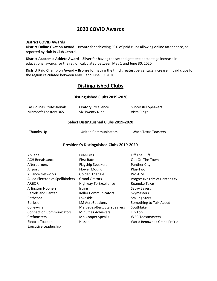# **2020 COVID Awards**

#### **District COVID Awards**

**District Online Ovation Award – Bronze** for achieving 50% of paid clubs allowing online attendance, as reported by club in Club Central.

**District Academia Athlete Award – Silver** for having the second greatest percentage increase in educational awards for the region calculated between May 1 and June 30, 2020.

**District Paid Champion Award – Bronze** for having the third greatest percentage increase in paid clubs for the region calculated between May 1 and June 30, 2020.

# **Distinguished Clubs**

#### **Distinguished Clubs 2019-2020**

| Las Colinas Professionals | <b>Oratory Excellence</b> | <b>Successful Speakers</b> |
|---------------------------|---------------------------|----------------------------|
| Microsoft Toasters 365    | Six Twenty Nine           | Vista Ridge                |

#### **Select Distinguished Clubs 2019-2020**

Thumbs Up United Communicators Waco Texas Toasters

#### **President's Distinguished Clubs 2019-2020**

| Abilene                                | Fear-Less                   | Off The Cuff                   |
|----------------------------------------|-----------------------------|--------------------------------|
| <b>ACH Renaissance</b>                 | <b>First Rate</b>           | Out On The Town                |
| Afterburners                           | <b>Flagship Speakers</b>    | Panther City                   |
| Airport                                | Flower Mound                | Plus-Two                       |
| <b>Alliance Networks</b>               | <b>Golden Triangle</b>      | Pro A.M.                       |
| <b>Allied Electronics Spellbinders</b> | <b>Grand Orators</b>        | Progressive Ldrs of Denton Cty |
| ARBOR                                  | Highway To Excellence       | Roanoke Texas                  |
| <b>Arlington Nooners</b>               | <i><u><b>Irving</b></u></i> | <b>Savvy Sayers</b>            |
| <b>Barrels and Banter</b>              | <b>Keller Communicators</b> | Skymasters                     |
| <b>Bethesda</b>                        | Lakeside                    | <b>Smiling Stars</b>           |
| <b>Burleson</b>                        | <b>LM AeroSpeakers</b>      | Something to Talk About        |
| Colleyville                            | Mercedes-Benz Starspeakers  | Southlake                      |
| <b>Connection Communicators</b>        | <b>MidCities Achievers</b>  | Tip Top                        |
| Crefmasters                            | Mr. Cooper Speaks           | <b>WBC Toastmasters</b>        |
| <b>Electric Toasters</b>               | Nissan                      | World Renowned Grand Prairie   |
| Executive Leadership                   |                             |                                |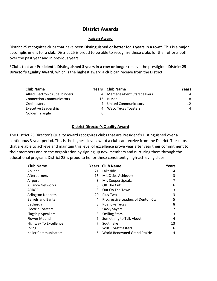# **District Awards**

#### **Kaizen Award**

District 25 recognizes clubs that have been **Distinguished or better for 3 years in a row\*.** This is a major accomplishment for a club. District 25 is proud to be able to recognize these clubs for their efforts both over the past year and in previous years.

\*Clubs that are **President's Distinguished 3 years in a row or longer** receive the prestigious **District 25 Director's Quality Award**, which is the highest award a club can receive from the District.

| <b>Club Name</b>                       |    | <b>Years</b> Club Name      | Years |
|----------------------------------------|----|-----------------------------|-------|
| <b>Allied Electronics Spellbinders</b> | 4  | Mercedes-Benz Starspeakers  | 4     |
| <b>Connection Communicators</b>        | 13 | Nissan                      | 8     |
| <b>Crefmasters</b>                     | 4  | <b>United Communicators</b> | 12    |
| <b>Executive Leadership</b>            | 4  | Waco Texas Toasters         | 4     |
| Golden Triangle                        | 6  |                             |       |

#### **District Director's Quality Award**

The District 25 Director's Quality Award recognizes clubs that are President's Distinguished over a continuous 3-year period. This is the highest-level award a club can receive from the District. The clubs that are able to achieve and maintain this level of excellence prove year after year their commitment to their members and to the organization by signing up new members and nurturing them through the educational program. District 25 is proud to honor these consistently high-achieving clubs.

| <b>Club Name</b>             |    | <b>Years</b> Club Name            | Years |
|------------------------------|----|-----------------------------------|-------|
| Abilene                      | 21 | Lakeside                          | 14    |
| Afterburners                 | 18 | <b>MidCities Achievers</b>        | 3     |
| Airport                      | 3  | Mr. Cooper Speaks                 |       |
| <b>Alliance Networks</b>     | 8  | Off The Cuff                      | 6     |
| <b>ARBOR</b>                 | 8  | Out On The Town                   | 3     |
| <b>Arlington Nooners</b>     | 20 | Plus-Two                          | 3     |
| <b>Barrels and Banter</b>    | 4  | Progressive Leaders of Denton Cty | 5     |
| <b>Bethesda</b>              | 8  | Roanoke Texas                     | 8     |
| <b>Electric Toasters</b>     | 3  | Savvy Sayers                      |       |
| <b>Flagship Speakers</b>     | 3  | <b>Smiling Stars</b>              | 3     |
| <b>Flower Mound</b>          | 6  | Something to Talk About           | 4     |
| <b>Highway To Excellence</b> |    | Southlake                         | 13    |
| Irving                       | 6  | <b>WBC Toastmasters</b>           | 6     |
| <b>Keller Communicators</b>  | 5  | World Renowned Grand Prairie      | 4     |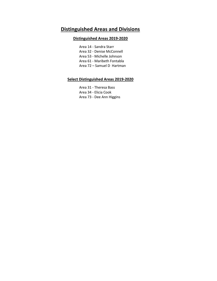# **Distinguished Areas and Divisions**

## **Distinguished Areas 2019-2020**

Area 14 - Sandra Starr Area 32 - Denise McConnell Area 53 - Michelle Johnson Area 61 - Maribeth Fontabla Area 72 – Samuel D Hartman

#### **Select Distinguished Areas 2019-2020**

Area 31 - Theresa Bass Area 34 - Elicia Cook Area 73 - Dee Ann Higgins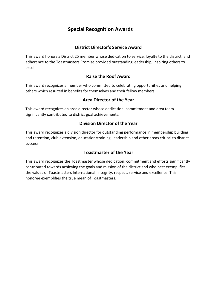# **Special Recognition Awards**

# **District Director's Service Award**

This award honors a District 25 member whose dedication to service, loyalty to the district, and adherence to the Toastmasters Promise provided outstanding leadership, inspiring others to excel.

# **Raise the Roof Award**

This award recognizes a member who committed to celebrating opportunities and helping others which resulted in benefits for themselves and their fellow members.

# **Area Director of the Year**

This award recognizes an area director whose dedication, commitment and area team significantly contributed to district goal achievements.

# **Division Director of the Year**

This award recognizes a division director for outstanding performance in membership building and retention, club extension, education/training, leadership and other areas critical to district success.

# **Toastmaster of the Year**

This award recognizes the Toastmaster whose dedication, commitment and efforts significantly contributed towards achieving the goals and mission of the district and who best exemplifies the values of Toastmasters International: integrity, respect, service and excellence. This honoree exemplifies the true mean of Toastmasters.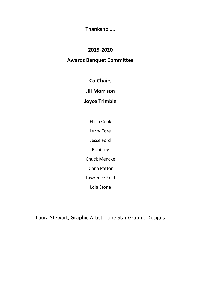**Thanks to ….**

# **2019-2020**

# **Awards Banquet Committee**

**Co-Chairs**

**Jill Morrison**

# **Joyce Trimble**

Elicia Cook

Larry Core

Jesse Ford

Robi Ley

Chuck Mencke

Diana Patton

Lawrence Reid

Lola Stone

Laura Stewart, Graphic Artist, Lone Star Graphic Designs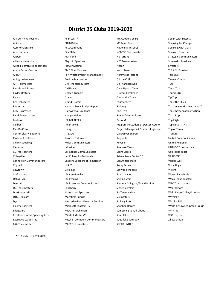# **District 25 Clubs 2019-2020**

FAA Toastmaster MLCC Toastmasters SPEAK UNITED

AAFCU Flying Toasters **Fear-Less<sup>\*\*</sup>** Fear-Less<sup>\*\*</sup> Mr. Cooper Speaks Speak Speak With Success Abilene **FHLB Dallas** FHLB Dallas **FHLB Dallas** MS Texas Toast Speaking for Change ACH Renaissance **First Command** First Command **Nationstar Inspires** Speaking with Class Afterburners **Eirst Rate Matemage Speakup New Life** NCTCOG Toastmasters Speakup New Life Airport **Example 20 Tana 12 Tana 12 Tana 12 Tana 12 Tana 12 Tana 12 Tana 12 Tana 12 Tana 12 Tana 12 Tana 12 Tana 12 Tana 12 Tana 12 Tana 12 Tana 12 Tana 12 Tana 12 Tana 12 Tana 12 Tana 12 Tana 12 Tana 12 Tana 12 Tana 12 Ta** Alliance Networks Flagship Speakers NEC Toastmasters Successful Speakers Allied Electronics Spellbinders **Flower Mound** Nissan Nissan Swesters Swesters Amon Carter Orators FMC Flow Masters North Texas T.E.A.M. Toasters ARBOR Fort Worth Project Management Northwest Tarrant Talk Blue Arlington Nooners **Freddie Mac Voices** Communication Cuff the Cuff Tarrant County ART Talkmasters GM Financial Burnett Oh Thank Heaven TCU Barrels and Banter GMFinancial Once Upon a Time Texas Toast Baylor Orators **Solution Constructs** Golden Triangle Constructs Construct Construct Constructs Construct Oratory Excellence Thumbs Up **Beach** Grace Grace Grace **Out on the Town** Tip Top Bell Helicopter **Example 2** Community Grand Orators **Panther City** Panther City **Panther City** Toast the Blues Bethesda **Eart of Texas Bridge Gappers** Parkway **Parkway Toastmaster Gartner Irving\*\*** BNSF Expressed **Expressed Highway to Excellence** Plus-Two **Plus-Two Profile and Toastmasters of Instruction** BNSF Toastmasters **Example 20 Foat Strates Hunger Helpers** Power Communicators **Power Communicators** ToastStop Burleson ICE BREAKERS Pro A.M. Top Flight Caliber **Inner Voice Inner Voice Progressive Leaders of Denton County** Top Notch - TNT Can-Do Crew **Internal Provident Contains Contains Project Managers & Systems Engineers** Top of Texas Centex Clearly Speaking The COS Centex Clearly Speaking IT EGOS Centex Clearly Speaking Truckin' Circle of Excellence **State Communicators** Jacobs - Fort Worth **Region 6** Region 6 United Communicators Clearly Speaking **Clearly Speaking** Clearly Speaking Revelle Communicators Reveille Communicators Revelle Cleburne Lakeside Roanoke Texas UNTHSC Toastmasters COFfee Toasters Las Colinas Communicators Sabre Classic USB Texas Toast Colleyville **Colleyville** Colinas Colinas Professionals **Safran Serve Denton\*\*** VARIDESK Connection Communicators Leaders-Speakers of Tomorrow San Angelo State Verbal Eyes Coppell Savvy Sayers (State State School of Savvy Sayers Savvy Sayers Savvy Sayers Savy Sayers School of State Ridge Cowtown **Communist Communist Communist Communist Communist Communist Communist Communist Communist Communist Communist Communist Communist Communist Communist Communist Communist Communist Communist Communist Communist Com** Crefmasters **Cream Community Community Cream Community** Crefmasters Crefmasters Waco - Early Birds Dallas GAC **Shining Stars Community Community** Community Community Shining Stars Shining Stars Waco Texas Toasters Denton **LM Executive Communicators** Siemens Arlington/Grand Prairie WBC Toastmasters DG Toastmasters **Longhorn Signet Jewelers** Signet Jewelers Weatherford Do-Gooder Hill **Suite According Main Street Speakers** Six Twenty Nine Six Twenty Nine Wells Fargo Dallas/Ft. Worth DTCC Dallas\*\* Mansfield Sunrise Skymasters Westlake Dyess Mercedes-Benz Financial Services Smiling Stars Wichita Falls Electric Toasters Microsoft Toasters 365 Soapbox Heroes World Renowned Grand Prairie Energizers MidCities Achievers Something to Talk about WP FTW Excellence in the Speaking Arts **Mindful Masters\*\*** Southlake Southlake XPO Logistics Executive Leadership Mitchell Confident Communicators Southlake Saturday Zillow Group

\*\* - Chartered 2019-2020